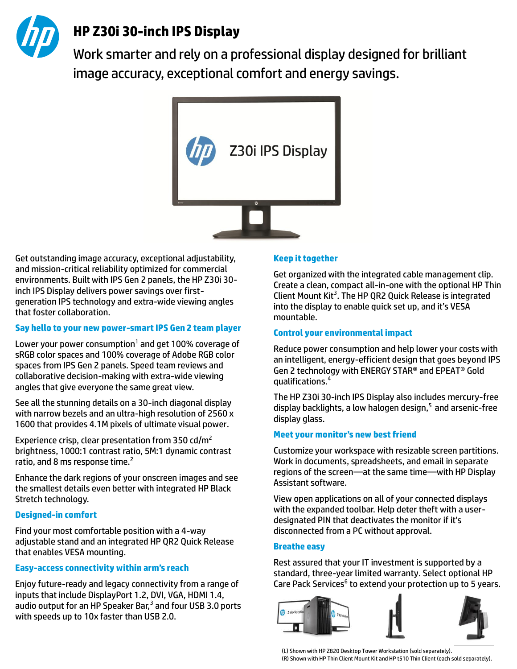

# **HP Z30i 30-inch IPS Display**

Work smarter and rely on a professional display designed for brilliant image accuracy, exceptional comfort and energy savings.



Get outstanding image accuracy, exceptional adjustability, and mission-critical reliability optimized for commercial environments. Built with IPS Gen 2 panels, the HP Z30i 30 inch IPS Display delivers power savings over firstgeneration IPS technology and extra-wide viewing angles that foster collaboration.

#### **Say hello to your new power-smart IPS Gen 2 team player**

Lower your power consumption<sup>1</sup> and get 100% coverage of sRGB color spaces and 100% coverage of Adobe RGB color spaces from IPS Gen 2 panels. Speed team reviews and collaborative decision-making with extra-wide viewing angles that give everyone the same great view.

See all the stunning details on a 30-inch diagonal display with narrow bezels and an ultra-high resolution of 2560 x 1600 that provides 4.1M pixels of ultimate visual power.

Experience crisp, clear presentation from 350 cd/m<sup>2</sup> brightness, 1000:1 contrast ratio, 5M:1 dynamic contrast ratio, and 8 ms response time.<sup>2</sup>

Enhance the dark regions of your onscreen images and see the smallest details even better with integrated HP Black Stretch technology.

# **Designed-in comfort**

Find your most comfortable position with a 4-way adjustable stand and an integrated HP QR2 Quick Release that enables VESA mounting.

# **Easy-access connectivity within arm's reach**

Enjoy future-ready and legacy connectivity from a range of inputs that include DisplayPort 1.2, DVI, VGA, HDMI 1.4, audio output for an HP Speaker Bar, $^3$  and four USB 3.0 ports with speeds up to 10x faster than USB 2.0.

#### **Keep it together**

Get organized with the integrated cable management clip. Create a clean, compact all-in-one with the optional HP Thin Client Mount Kit<sup>3</sup>. The HP QR2 Quick Release is integrated into the display to enable quick set up, and it's VESA mountable.

### **Control your environmental impact**

Reduce power consumption and help lower your costs with an intelligent, energy-efficient design that goes beyond IPS Gen 2 technology with ENERGY STAR® and EPEAT® Gold qualifications.<sup>4</sup>

The HP Z30i 30-inch IPS Display also includes mercury-free display backlights, a low halogen design, $5$  and arsenic-free display glass.

# **Meet your monitor's new best friend**

Customize your workspace with resizable screen partitions. Work in documents, spreadsheets, and email in separate regions of the screen—at the same time—with HP Display Assistant software.

View open applications on all of your connected displays with the expanded toolbar. Help deter theft with a userdesignated PIN that deactivates the monitor if it's disconnected from a PC without approval.

#### **Breathe easy**

Rest assured that your IT investment is supported by a standard, three-year limited warranty. Select optional HP Care Pack Services<sup>6</sup> to extend your protection up to 5 years.



(L) Shown with HP Z820 Desktop Tower Workstation (sold separately). (R) Shown with HP Thin Client Mount Kit and HP t510 Thin Client (each sold separately).